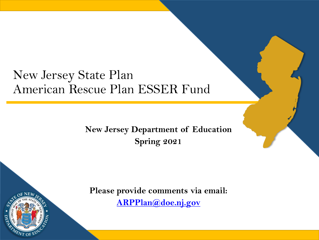### New Jersey State Plan American Rescue Plan ESSER Fund

**New Jersey Department of Education Spring 2021**



**Please provide comments via email: [ARPPlan@doe.nj.gov](mailto:ARPPlan@doe.nj.gov)**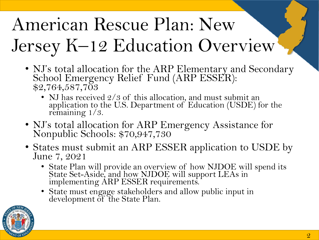# American Rescue Plan: New Jersey K–12 Education Overview

- NJ's total allocation for the ARP Elementary and Secondary School Emergency Relief Fund (ARP ESSER): \$2,764,587,703
	- NJ has received  $2/3$  of this allocation, and must submit an application to the U.S. Department of Education (USDE) for the remaining  $1/3$ .
- NJ's total allocation for ARP Emergency Assistance for Nonpublic Schools: \$70,947,730
- States must submit an ARP ESSER application to USDE by June 7, 2021
	- State Plan will provide an overview of how NJDOE will spend its State Set-Aside, and how NJDOE will support LEAs in implementing ARP ESSER requirements.
	- State must engage stakeholders and allow public input in development of the State Plan.

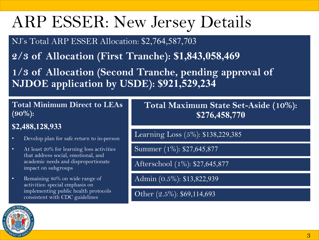## ARP ESSER: New Jersey Details

NJ's Total ARP ESSER Allocation: \$2,764,587,703

**2/3 of Allocation (First Tranche): \$1,843,058,469**

**1/3 of Allocation (Second Tranche, pending approval of NJDOE application by USDE): \$921,529,234**

#### **Total Minimum Direct to LEAs (90%):**

#### **\$2,488,128,933**

- Develop plan for safe return to in-person
- At least 20% for learning loss activities that address social, emotional, and academic needs and disproportionate impact on subgroups
- Remaining 80% on wide range of activities: special emphasis on implementing public health protocols consistent with CDC guidelines

**Total Maximum State Set-Aside (10%): \$276,458,770**

Learning Loss (5%): \$138,229,385

Summer (1%): \$27,645,877

Afterschool (1%): \$27,645,877

Admin (0.5%): \$13,822,939

Other (2.5%): \$69,114,693

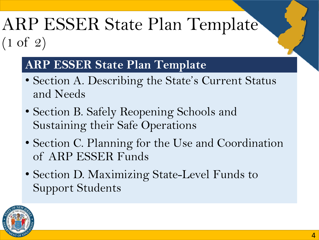## ARP ESSER State Plan Template (1 of 2)

### **ARP ESSER State Plan Template**

- Section A. Describing the State's Current Status and Needs
- Section B. Safely Reopening Schools and Sustaining their Safe Operations
- Section C. Planning for the Use and Coordination of ARP ESSER Funds
- Section D. Maximizing State-Level Funds to Support Students

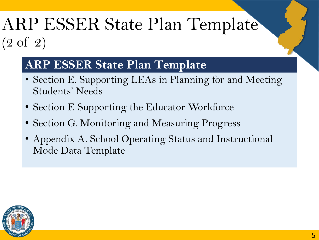### ARP ESSER State Plan Template (2 of 2)

#### **ARP ESSER State Plan Template**

- Section E. Supporting LEAs in Planning for and Meeting Students' Needs
- Section F. Supporting the Educator Workforce
- Section G. Monitoring and Measuring Progress
- Appendix A. School Operating Status and Instructional Mode Data Template

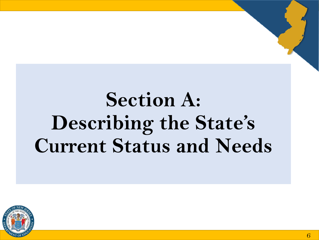## **Section A: Describing the State's Current Status and Needs**

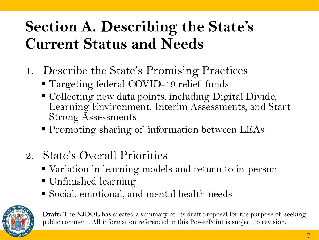## **Section A. Describing the State's Current Status and Needs**

- 1. Describe the State's Promising Practices
	- Targeting federal COVID-19 relief funds
	- Collecting new data points, including Digital Divide, Learning Environment, Interim Assessments, and Start Strong Assessments
	- **Promoting sharing of information between LEAs**
- 2. State's Overall Priorities
	- Variation in learning models and return to in-person
	- **Unfinished learning**
	- Social, emotional, and mental health needs

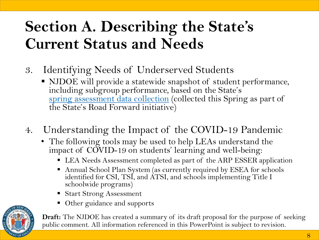## **Section A. Describing the State's Current Status and Needs**

- 3. Identifying Needs of Underserved Students
	- NJDOE will provide a statewide snapshot of student performance, including subgroup performance, based on the State's [spring assessment data collection](https://www.nj.gov/education/broadcasts/2021/feb/TheRoadForward-SpringAssessmentDataCollection.pdf) (collected this Spring as part of the State's Road Forward initiative)
- 4. Understanding the Impact of the COVID-19 Pandemic
	- The following tools may be used to help LEAs understand the impact of COVID-19 on students' learning and well-being:
		- LEA Needs Assessment completed as part of the ARP ESSER application
		- Annual School Plan System (as currently required by ESEA for schools identified for CSI, TSI, and ATSI, and schools implementing Title I schoolwide programs)
		- Start Strong Assessment
		- Other guidance and supports

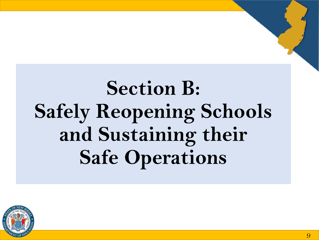# **Section B: Safely Reopening Schools and Sustaining their Safe Operations**

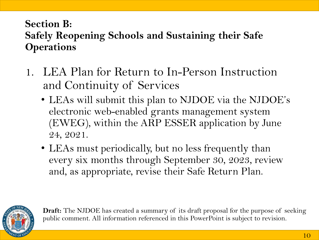#### **Section B: Safely Reopening Schools and Sustaining their Safe Operations**

- 1. LEA Plan for Return to In-Person Instruction and Continuity of Services
	- LEAs will submit this plan to NJDOE via the NJDOE's electronic web-enabled grants management system (EWEG), within the ARP ESSER application by June 24, 2021.
	- LEAs must periodically, but no less frequently than every six months through September 30, 2023, review and, as appropriate, revise their Safe Return Plan.

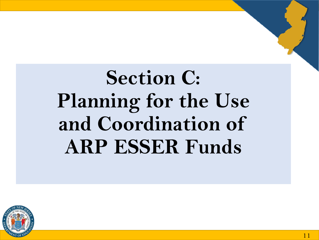# **Section C: Planning for the Use and Coordination of ARP ESSER Funds**

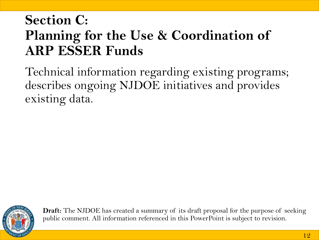### **Section C: Planning for the Use & Coordination of ARP ESSER Funds**

Technical information regarding existing programs; describes ongoing NJDOE initiatives and provides existing data.

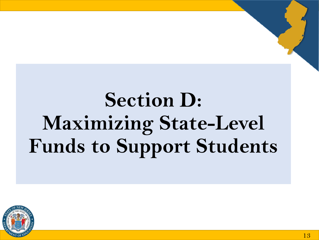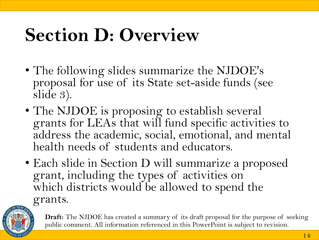## **Section D: Overview**

- The following slides summarize the NJDOE's proposal for use of its State set-aside funds (see slide 3).
- The NJDOE is proposing to establish several grants for LEAs that will fund specific activities to address the academic, social, emotional, and mental health needs of students and educators.
- Each slide in Section D will summarize a proposed grant, including the types of activities on which districts would be allowed to spend the grants.

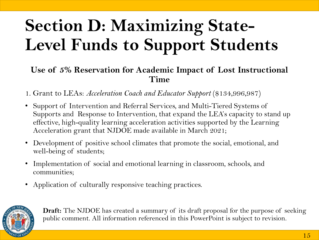#### **Use of 5% Reservation for Academic Impact of Lost Instructional Time**

- 1. Grant to LEAs: *Acceleration Coach and Educator Support* (\$134,996,987)
- Support of Intervention and Referral Services, and Multi-Tiered Systems of Supports and Response to Intervention, that expand the LEA's capacity to stand up effective, high-quality learning acceleration activities supported by the Learning Acceleration grant that NJDOE made available in March 2021;
- Development of positive school climates that promote the social, emotional, and well-being of students;
- Implementation of social and emotional learning in classroom, schools, and communities;
- Application of culturally responsive teaching practices.

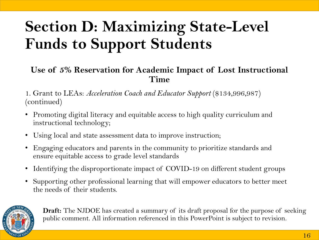#### **Use of 5% Reservation for Academic Impact of Lost Instructional Time**

1. Grant to LEAs: *Acceleration Coach and Educator Support* (\$134,996,987) (continued)

- Promoting digital literacy and equitable access to high quality curriculum and instructional technology;
- Using local and state assessment data to improve instruction;
- Engaging educators and parents in the community to prioritize standards and ensure equitable access to grade level standards
- Identifying the disproportionate impact of COVID-19 on different student groups
- Supporting other professional learning that will empower educators to better meet the needs of their students.

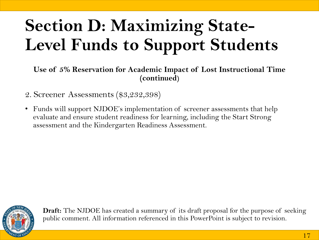**Use of 5% Reservation for Academic Impact of Lost Instructional Time (continued)**

- 2. Screener Assessments (\$3,232,398)
- Funds will support NJDOE's implementation of screener assessments that help evaluate and ensure student readiness for learning, including the Start Strong assessment and the Kindergarten Readiness Assessment.

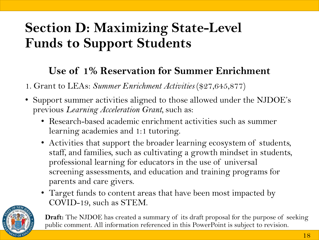#### **Use of 1% Reservation for Summer Enrichment**

1. Grant to LEAs: *Summer Enrichment Activities* (\$27,645,877)

- Support summer activities aligned to those allowed under the NJDOE's previous *Learning Acceleration Grant,* such as:
	- Research-based academic enrichment activities such as summer learning academies and 1:1 tutoring.
	- Activities that support the broader learning ecosystem of students, staff, and families, such as cultivating a growth mindset in students, professional learning for educators in the use of universal screening assessments, and education and training programs for parents and care givers.
	- Target funds to content areas that have been most impacted by COVID-19, such as STEM.

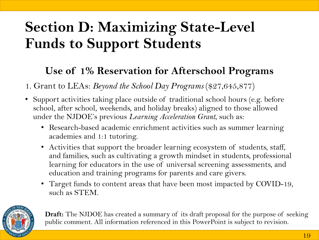#### **Use of 1% Reservation for Afterschool Programs**

1. Grant to LEAs: *Beyond the School Day Programs* (\$27,645,877)

- Support activities taking place outside of traditional school hours (e.g. before school, after school, weekends, and holiday breaks) aligned to those allowed under the NJDOE's previous *Learning Acceleration Grant*, such as:
	- Research-based academic enrichment activities such as summer learning academies and 1:1 tutoring.
	- Activities that support the broader learning ecosystem of students, staff, and families, such as cultivating a growth mindset in students, professional learning for educators in the use of universal screening assessments, and education and training programs for parents and care givers.
	- Target funds to content areas that have been most impacted by COVID-19, such as STEM.

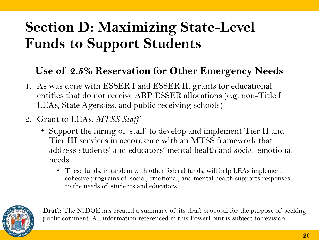#### **Use of 2.5% Reservation for Other Emergency Needs**

- 1. As was done with ESSER I and ESSER II, grants for educational entities that do not receive ARP ESSER allocations (e.g. non-Title I LEAs, State Agencies, and public receiving schools)
- 2. Grant to LEAs: *MTSS Staff*
	- Support the hiring of staff to develop and implement Tier II and Tier III services in accordance with an MTSS framework that address students' and educators' mental health and social-emotional needs.
		- These funds, in tandem with other federal funds, will help LEAs implement cohesive programs of social, emotional, and mental health supports responses to the needs of students and educators.

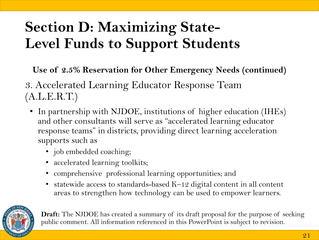**Use of 2.5% Reservation for Other Emergency Needs (continued)**

3. Accelerated Learning Educator Response Team (A.L.E.R.T.)

- In partnership with NJDOE, institutions of higher education (IHEs) and other consultants will serve as "accelerated learning educator response teams" in districts, providing direct learning acceleration supports such as
	- job embedded coaching;
	- accelerated learning toolkits;
	- comprehensive professional learning opportunities; and
	- statewide access to standards-based K–12 digital content in all content areas to strengthen how technology can be used to empower learners.

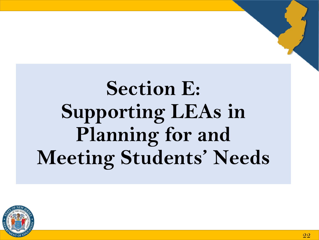# **Section E: Supporting LEAs in Planning for and Meeting Students' Needs**

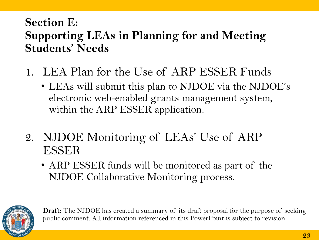#### **Section E: Supporting LEAs in Planning for and Meeting Students' Needs**

- 1. LEA Plan for the Use of ARP ESSER Funds
	- LEAs will submit this plan to NJDOE via the NJDOE's electronic web-enabled grants management system, within the ARP ESSER application.
- 2. NJDOE Monitoring of LEAs' Use of ARP ESSER
	- ARP ESSER funds will be monitored as part of the NJDOE Collaborative Monitoring process.

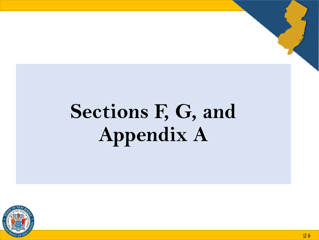# **Sections F, G, and Appendix A**

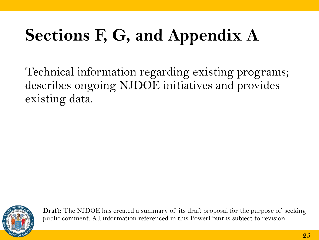## **Sections F, G, and Appendix A**

Technical information regarding existing programs; describes ongoing NJDOE initiatives and provides existing data.